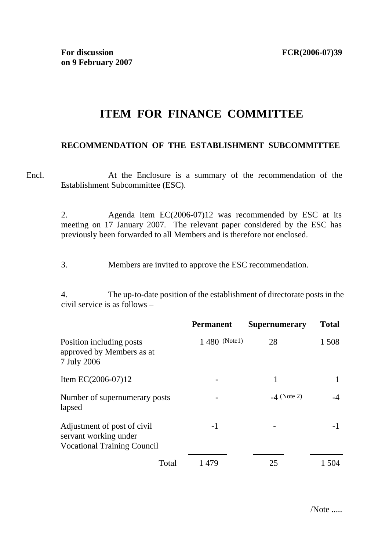## **ITEM FOR FINANCE COMMITTEE**

## **RECOMMENDATION OF THE ESTABLISHMENT SUBCOMMITTEE**

Encl. At the Enclosure is a summary of the recommendation of the Establishment Subcommittee (ESC).

> 2. Agenda item EC(2006-07)12 was recommended by ESC at its meeting on 17 January 2007. The relevant paper considered by the ESC has previously been forwarded to all Members and is therefore not enclosed.

3. Members are invited to approve the ESC recommendation.

4. The up-to-date position of the establishment of directorate posts in the civil service is as follows –

|                                                                                            | <b>Permanent</b> | <b>Supernumerary</b> | <b>Total</b> |
|--------------------------------------------------------------------------------------------|------------------|----------------------|--------------|
| Position including posts<br>approved by Members as at<br>7 July 2006                       | 1 480 (Note1)    | 28                   | 1 508        |
| Item EC $(2006-07)12$                                                                      |                  | 1                    |              |
| Number of supernumerary posts<br>lapsed                                                    |                  | $-4$ (Note 2)        |              |
| Adjustment of post of civil<br>servant working under<br><b>Vocational Training Council</b> | $-1$             |                      | -1           |
| Total                                                                                      | 1479             | 25                   | 1 504        |

/Note .....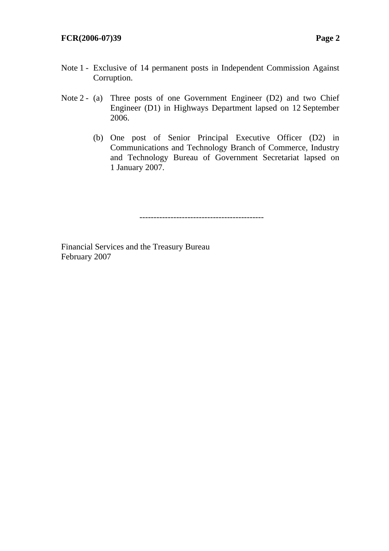## **FCR(2006-07)39 Page 2**

- Note 1 Exclusive of 14 permanent posts in Independent Commission Against Corruption.
- Note 2 (a) Three posts of one Government Engineer (D2) and two Chief Engineer (D1) in Highways Department lapsed on 12 September 2006.
	- (b) One post of Senior Principal Executive Officer (D2) in Communications and Technology Branch of Commerce, Industry and Technology Bureau of Government Secretariat lapsed on 1 January 2007.

--------------------------------------------

Financial Services and the Treasury Bureau February 2007